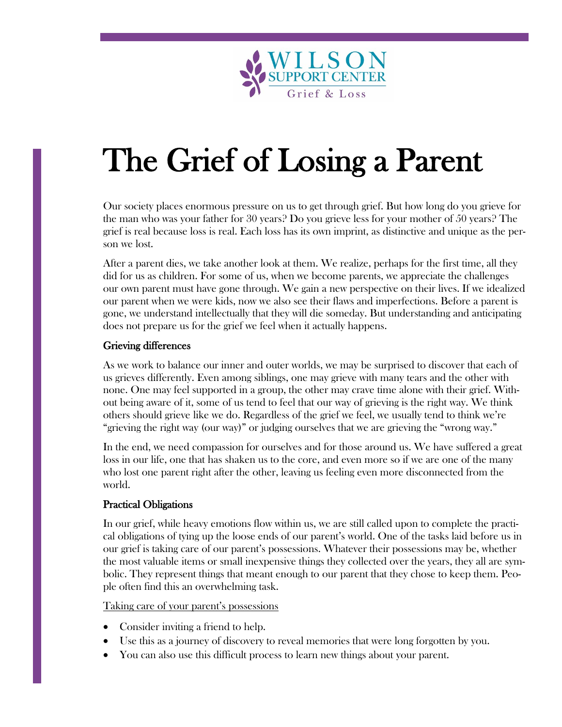

# The Grief of Losing a Parent

Our society places enormous pressure on us to get through grief. But how long do you grieve for the man who was your father for 30 years? Do you grieve less for your mother of 50 years? The grief is real because loss is real. Each loss has its own imprint, as distinctive and unique as the person we lost.

After a parent dies, we take another look at them. We realize, perhaps for the first time, all they did for us as children. For some of us, when we become parents, we appreciate the challenges our own parent must have gone through. We gain a new perspective on their lives. If we idealized our parent when we were kids, now we also see their flaws and imperfections. Before a parent is gone, we understand intellectually that they will die someday. But understanding and anticipating does not prepare us for the grief we feel when it actually happens.

## Grieving differences

As we work to balance our inner and outer worlds, we may be surprised to discover that each of us grieves differently. Even among siblings, one may grieve with many tears and the other with none. One may feel supported in a group, the other may crave time alone with their grief. Without being aware of it, some of us tend to feel that our way of grieving is the right way. We think others should grieve like we do. Regardless of the grief we feel, we usually tend to think we're "grieving the right way (our way)" or judging ourselves that we are grieving the "wrong way."

In the end, we need compassion for ourselves and for those around us. We have suffered a great loss in our life, one that has shaken us to the core, and even more so if we are one of the many who lost one parent right after the other, leaving us feeling even more disconnected from the world.

# Practical Obligations

In our grief, while heavy emotions flow within us, we are still called upon to complete the practical obligations of tying up the loose ends of our parent's world. One of the tasks laid before us in our grief is taking care of our parent's possessions. Whatever their possessions may be, whether the most valuable items or small inexpensive things they collected over the years, they all are symbolic. They represent things that meant enough to our parent that they chose to keep them. People often find this an overwhelming task.

Taking care of your parent's possessions

- Consider inviting a friend to help.
- Use this as a journey of discovery to reveal memories that were long forgotten by you.
- You can also use this difficult process to learn new things about your parent.